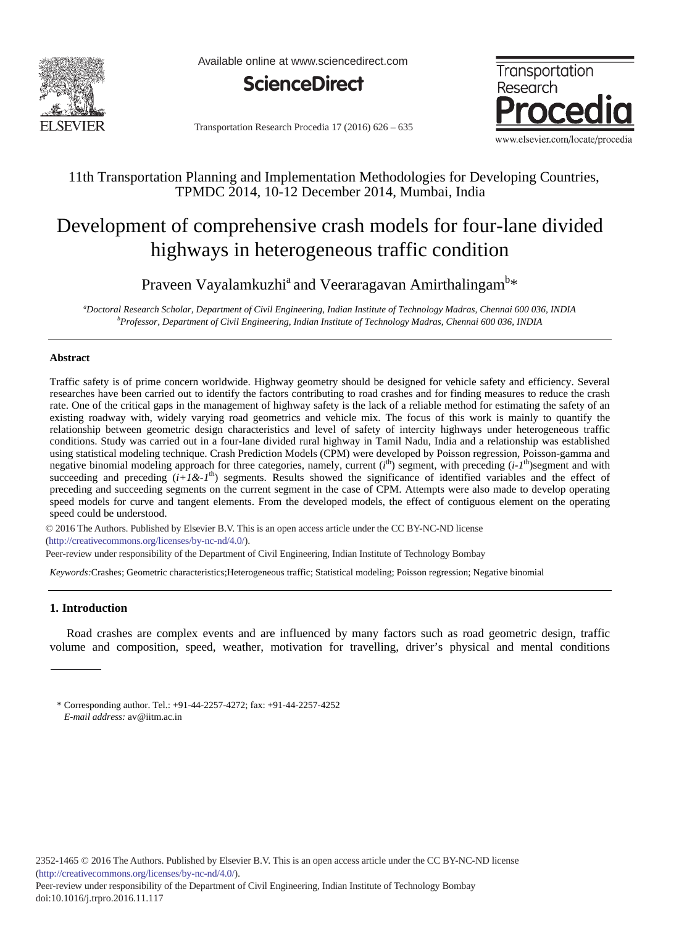

Available online at www.sciencedirect.com





Transportation Research Procedia 17 (2016) 626 - 635

# 11th Transportation Planning and Implementation Methodologies for Developing Countries, TPMDC 2014, 10-12 December 2014, Mumbai, India

# Development of comprehensive crash models for four-lane divided highways in heterogeneous traffic condition

# Praveen Vayalamkuzhi<sup>a</sup> and Veeraragavan Amirthalingam $b^*$

*a Doctoral Research Scholar, Department of Civil Engineering, Indian Institute of Technology Madras, Chennai 600 036, INDIA b Professor, Department of Civil Engineering, Indian Institute of Technology Madras, Chennai 600 036, INDIA* 

## **Abstract**

Traffic safety is of prime concern worldwide. Highway geometry should be designed for vehicle safety and efficiency. Several researches have been carried out to identify the factors contributing to road crashes and for finding measures to reduce the crash rate. One of the critical gaps in the management of highway safety is the lack of a reliable method for estimating the safety of an existing roadway with, widely varying road geometrics and vehicle mix. The focus of this work is mainly to quantify the relationship between geometric design characteristics and level of safety of intercity highways under heterogeneous traffic conditions. Study was carried out in a four-lane divided rural highway in Tamil Nadu, India and a relationship was established using statistical modeling technique. Crash Prediction Models (CPM) were developed by Poisson regression, Poisson-gamma and negative binomial modeling approach for three categories, namely, current (*i*<sup>th</sup>) segment, with preceding (*i-1*<sup>th</sup>)segment and with succeeding and preceding  $(i+1&d-1<sup>th</sup>)$  segments. Results showed the significance of identified variables and the effect of preceding and succeeding segments on the current segment in the case of CPM. Attempts were also made to develop operating speed models for curve and tangent elements. From the developed models, the effect of contiguous element on the operating speed could be understood.

© 2015 The Authors. Published by Elsevier B.V. © 2016 The Authors. Published by Elsevier B.V. This is an open access article under the CC BY-NC-ND license (http://creativecommons.org/licenses/by-nc-nd/4.0/).

(imp.//creativecommons.org/ncenses/oy-nc-nd/4.0/).<br>Peer-review under responsibility of the Department of Civil Engineering, Indian Institute of Technology Bombay

*Keywords:*Crashes; Geometric characteristics;Heterogeneous traffic; Statistical modeling; Poisson regression; Negative binomial

# **1. Introduction**

 Road crashes are complex events and are influenced by many factors such as road geometric design, traffic volume and composition, speed, weather, motivation for travelling, driver's physical and mental conditions

<sup>\*</sup> Corresponding author. Tel.: +91-44-2257-4272; fax: +91-44-2257-4252 *E-mail address:* av@iitm.ac.in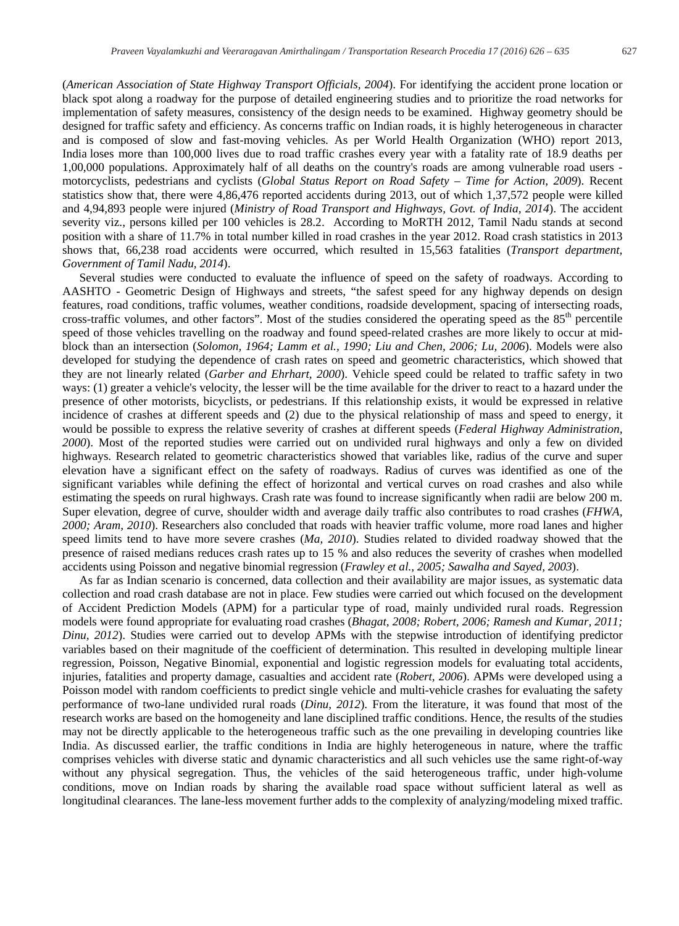(*American Association of State Highway Transport Officials, 2004*). For identifying the accident prone location or black spot along a roadway for the purpose of detailed engineering studies and to prioritize the road networks for implementation of safety measures, consistency of the design needs to be examined. Highway geometry should be designed for traffic safety and efficiency. As concerns traffic on Indian roads, it is highly heterogeneous in character and is composed of slow and fast-moving vehicles. As per World Health Organization (WHO) report 2013, India loses more than 100,000 lives due to road traffic crashes every year with a fatality rate of 18.9 deaths per 1,00,000 populations. Approximately half of all deaths on the country's roads are among vulnerable road users motorcyclists, pedestrians and cyclists (*Global Status Report on Road Safety – Time for Action, 2009*). Recent statistics show that, there were 4,86,476 reported accidents during 2013, out of which 1,37,572 people were killed and 4,94,893 people were injured (*Ministry of Road Transport and Highways, Govt. of India, 2014*). The accident severity viz., persons killed per 100 vehicles is 28.2. According to MoRTH 2012, Tamil Nadu stands at second position with a share of 11.7% in total number killed in road crashes in the year 2012. Road crash statistics in 2013 shows that, 66,238 road accidents were occurred, which resulted in 15,563 fatalities (*Transport department, Government of Tamil Nadu, 2014*).

 Several studies were conducted to evaluate the influence of speed on the safety of roadways. According to AASHTO - Geometric Design of Highways and streets, "the safest speed for any highway depends on design features, road conditions, traffic volumes, weather conditions, roadside development, spacing of intersecting roads, cross-traffic volumes, and other factors". Most of the studies considered the operating speed as the  $85<sup>th</sup>$  percentile speed of those vehicles travelling on the roadway and found speed-related crashes are more likely to occur at midblock than an intersection (*Solomon, 1964; Lamm et al., 1990; Liu and Chen, 2006; Lu, 2006*). Models were also developed for studying the dependence of crash rates on speed and geometric characteristics, which showed that they are not linearly related (*Garber and Ehrhart, 2000*). Vehicle speed could be related to traffic safety in two ways: (1) greater a vehicle's velocity, the lesser will be the time available for the driver to react to a hazard under the presence of other motorists, bicyclists, or pedestrians. If this relationship exists, it would be expressed in relative incidence of crashes at different speeds and (2) due to the physical relationship of mass and speed to energy, it would be possible to express the relative severity of crashes at different speeds (*Federal Highway Administration, 2000*). Most of the reported studies were carried out on undivided rural highways and only a few on divided highways. Research related to geometric characteristics showed that variables like, radius of the curve and super elevation have a significant effect on the safety of roadways. Radius of curves was identified as one of the significant variables while defining the effect of horizontal and vertical curves on road crashes and also while estimating the speeds on rural highways. Crash rate was found to increase significantly when radii are below 200 m. Super elevation, degree of curve, shoulder width and average daily traffic also contributes to road crashes (*FHWA, 2000; Aram, 2010*). Researchers also concluded that roads with heavier traffic volume, more road lanes and higher speed limits tend to have more severe crashes (*Ma, 2010*). Studies related to divided roadway showed that the presence of raised medians reduces crash rates up to 15 % and also reduces the severity of crashes when modelled accidents using Poisson and negative binomial regression (*Frawley et al., 2005; Sawalha and Sayed, 2003*).

 As far as Indian scenario is concerned, data collection and their availability are major issues, as systematic data collection and road crash database are not in place. Few studies were carried out which focused on the development of Accident Prediction Models (APM) for a particular type of road, mainly undivided rural roads. Regression models were found appropriate for evaluating road crashes (*Bhagat, 2008; Robert, 2006; Ramesh and Kumar, 2011; Dinu, 2012*). Studies were carried out to develop APMs with the stepwise introduction of identifying predictor variables based on their magnitude of the coefficient of determination. This resulted in developing multiple linear regression, Poisson, Negative Binomial, exponential and logistic regression models for evaluating total accidents, injuries, fatalities and property damage, casualties and accident rate (*Robert, 2006*). APMs were developed using a Poisson model with random coefficients to predict single vehicle and multi-vehicle crashes for evaluating the safety performance of two-lane undivided rural roads (*Dinu, 2012*). From the literature, it was found that most of the research works are based on the homogeneity and lane disciplined traffic conditions. Hence, the results of the studies may not be directly applicable to the heterogeneous traffic such as the one prevailing in developing countries like India. As discussed earlier, the traffic conditions in India are highly heterogeneous in nature, where the traffic comprises vehicles with diverse static and dynamic characteristics and all such vehicles use the same right-of-way without any physical segregation. Thus, the vehicles of the said heterogeneous traffic, under high-volume conditions, move on Indian roads by sharing the available road space without sufficient lateral as well as longitudinal clearances. The lane-less movement further adds to the complexity of analyzing/modeling mixed traffic.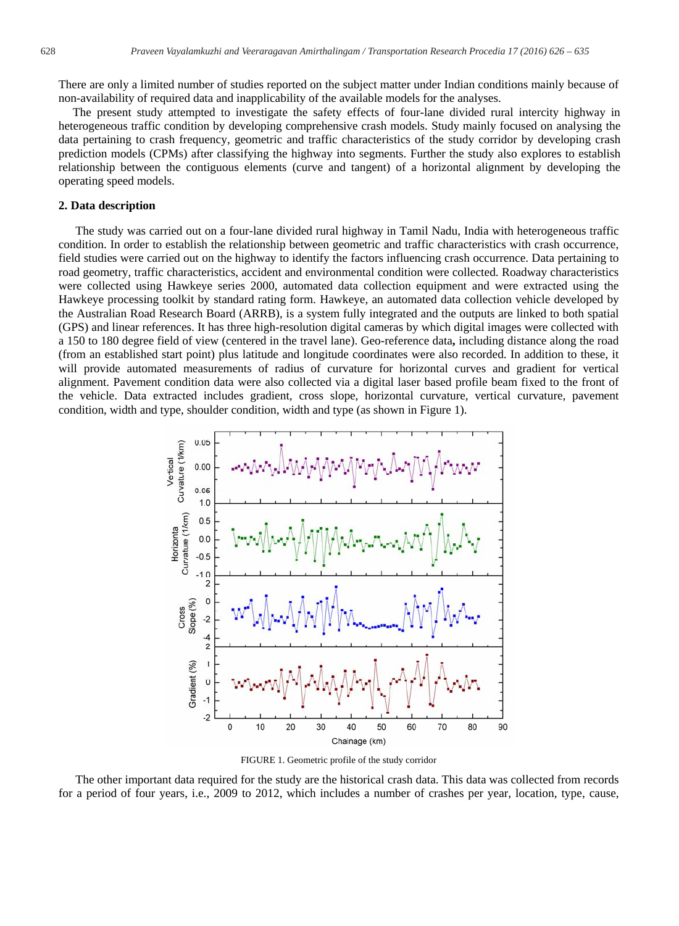There are only a limited number of studies reported on the subject matter under Indian conditions mainly because of non-availability of required data and inapplicability of the available models for the analyses.

The present study attempted to investigate the safety effects of four-lane divided rural intercity highway in heterogeneous traffic condition by developing comprehensive crash models. Study mainly focused on analysing the data pertaining to crash frequency, geometric and traffic characteristics of the study corridor by developing crash prediction models (CPMs) after classifying the highway into segments. Further the study also explores to establish relationship between the contiguous elements (curve and tangent) of a horizontal alignment by developing the operating speed models.

#### **2. Data description**

 The study was carried out on a four-lane divided rural highway in Tamil Nadu, India with heterogeneous traffic condition. In order to establish the relationship between geometric and traffic characteristics with crash occurrence, field studies were carried out on the highway to identify the factors influencing crash occurrence. Data pertaining to road geometry, traffic characteristics, accident and environmental condition were collected. Roadway characteristics were collected using Hawkeye series 2000, automated data collection equipment and were extracted using the Hawkeye processing toolkit by standard rating form. Hawkeye, an automated data collection vehicle developed by the Australian Road Research Board (ARRB), is a system fully integrated and the outputs are linked to both spatial (GPS) and linear references. It has three high-resolution digital cameras by which digital images were collected with a 150 to 180 degree field of view (centered in the travel lane). Geo-reference data**,** including distance along the road (from an established start point) plus latitude and longitude coordinates were also recorded. In addition to these, it will provide automated measurements of radius of curvature for horizontal curves and gradient for vertical alignment. Pavement condition data were also collected via a digital laser based profile beam fixed to the front of the vehicle. Data extracted includes gradient, cross slope, horizontal curvature, vertical curvature, pavement condition, width and type, shoulder condition, width and type (as shown in Figure 1).



FIGURE 1. Geometric profile of the study corridor

 The other important data required for the study are the historical crash data. This data was collected from records for a period of four years, i.e., 2009 to 2012, which includes a number of crashes per year, location, type, cause,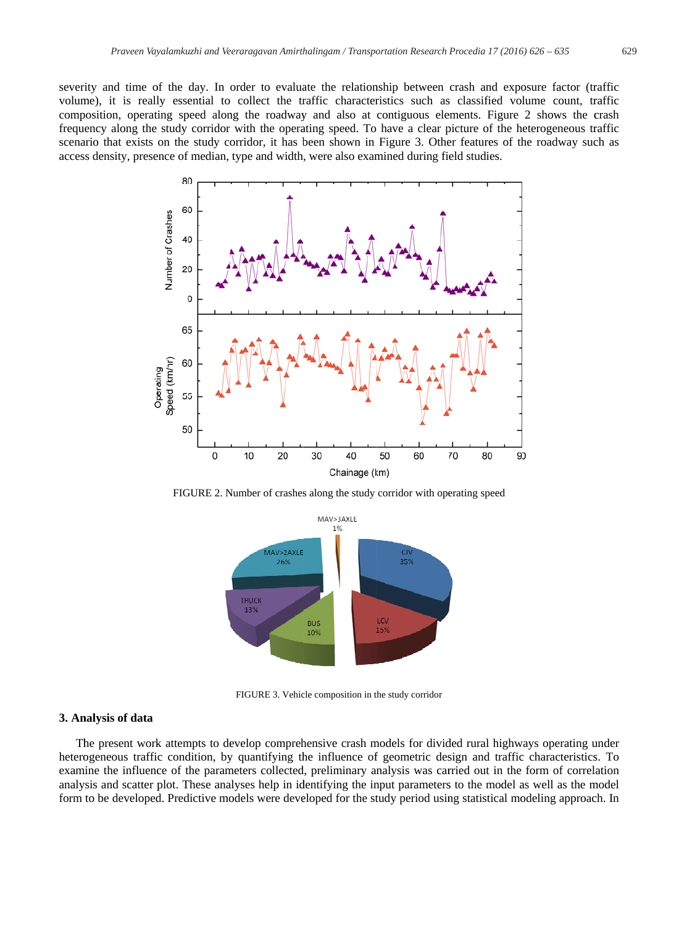severity and time of the day. In order to evaluate the relationship between crash and exposure factor (traffic volume), it is really essential to collect the traffic characteristics such as classified volume count, traffic composition, operating speed along the roadway and also at contiguous elements. Figure 2 shows the crash frequency along the study corridor with the operating speed. To have a clear picture of the heterogeneous traffic scenario that exists on the study corridor, it has been shown in Figure 3. Other features of the roadway such as access density, presence of median, type and width, were also examined during field studies.



FIGURE 2. Number of crashes along the study corridor with operating speed



FIGURE 3. Vehicle composition in the study corridor

#### **3. An nalysis of data**

The present work attempts to develop comprehensive crash models for divided rural highways operating under heterogeneous traffic condition, by quantifying the influence of geometric design and traffic characteristics. To examine the influence of the parameters collected, preliminary analysis was carried out in the form of correlation analysis and scatter plot. These analyses help in identifying the input parameters to the model as well as the model form to be developed. Predictive models were developed for the study period using statistical modeling approach. In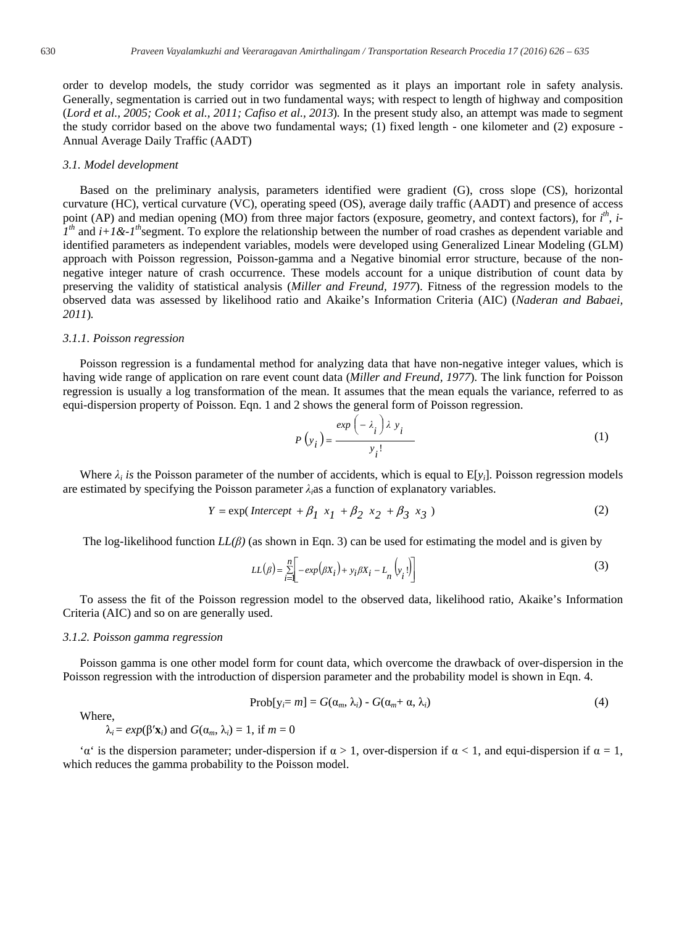order to develop models, the study corridor was segmented as it plays an important role in safety analysis. Generally, segmentation is carried out in two fundamental ways; with respect to length of highway and composition (*Lord et al., 2005; Cook et al., 2011; Cafiso et al., 2013*)*.* In the present study also, an attempt was made to segment the study corridor based on the above two fundamental ways; (1) fixed length - one kilometer and (2) exposure - Annual Average Daily Traffic (AADT)

#### *3.1. Model development*

 Based on the preliminary analysis, parameters identified were gradient (G), cross slope (CS), horizontal curvature (HC), vertical curvature (VC), operating speed (OS), average daily traffic (AADT) and presence of access point (AP) and median opening (MO) from three major factors (exposure, geometry, and context factors), for  $i^{th}$ , *i*- $I<sup>th</sup>$  and  $i+1\&-1<sup>th</sup>$ segment. To explore the relationship between the number of road crashes as dependent variable and identified parameters as independent variables, models were developed using Generalized Linear Modeling (GLM) approach with Poisson regression, Poisson-gamma and a Negative binomial error structure, because of the nonnegative integer nature of crash occurrence. These models account for a unique distribution of count data by preserving the validity of statistical analysis (*Miller and Freund, 1977*). Fitness of the regression models to the observed data was assessed by likelihood ratio and Akaike's Information Criteria (AIC) (*Naderan and Babaei, 2011*)*.* 

#### *3.1.1. Poisson regression*

Poisson regression is a fundamental method for analyzing data that have non-negative integer values, which is having wide range of application on rare event count data (*Miller and Freund, 1977*). The link function for Poisson regression is usually a log transformation of the mean. It assumes that the mean equals the variance, referred to as equi-dispersion property of Poisson. Eqn. 1 and 2 shows the general form of Poisson regression.

$$
P(y_i) = \frac{\exp\left(-\lambda_i\right)\lambda y_i}{y_i!}
$$
 (1)

Where  $\lambda_i$  is the Poisson parameter of the number of accidents, which is equal to  $E[y_i]$ . Poisson regression models are estimated by specifying the Poisson parameter  $\lambda_i$  as a function of explanatory variables.

$$
Y = \exp(\text{Intercept} + \beta_1 x_1 + \beta_2 x_2 + \beta_3 x_3)
$$
 (2)

The log-likelihood function  $LL(\beta)$  (as shown in Eqn. 3) can be used for estimating the model and is given by

$$
LL(\beta) = \sum_{i=1}^{n} \left[ -\exp\left(\beta X_i\right) + y_i \beta X_i - L_n \left(y_i! \right) \right] \tag{3}
$$

 To assess the fit of the Poisson regression model to the observed data, likelihood ratio, Akaike's Information Criteria (AIC) and so on are generally used.

#### *3.1.2. Poisson gamma regression*

 Poisson gamma is one other model form for count data, which overcome the drawback of over-dispersion in the Poisson regression with the introduction of dispersion parameter and the probability model is shown in Eqn. 4.

$$
Prob[y_i = m] = G(\alpha_m, \lambda_i) - G(\alpha_m + \alpha, \lambda_i)
$$
\n(4)

 Where,  $\lambda_i = exp(\beta' \mathbf{x}_i)$  and  $G(\alpha_m, \lambda_i) = 1$ , if  $m = 0$ 

$$
α
$$
 is the dispersion parameter; under-dispersion if  $α > 1$ , over-dispersion if  $α < 1$ , and equi-dispersion if  $α = 1$ , which reduces the gamma probability to the Poisson model.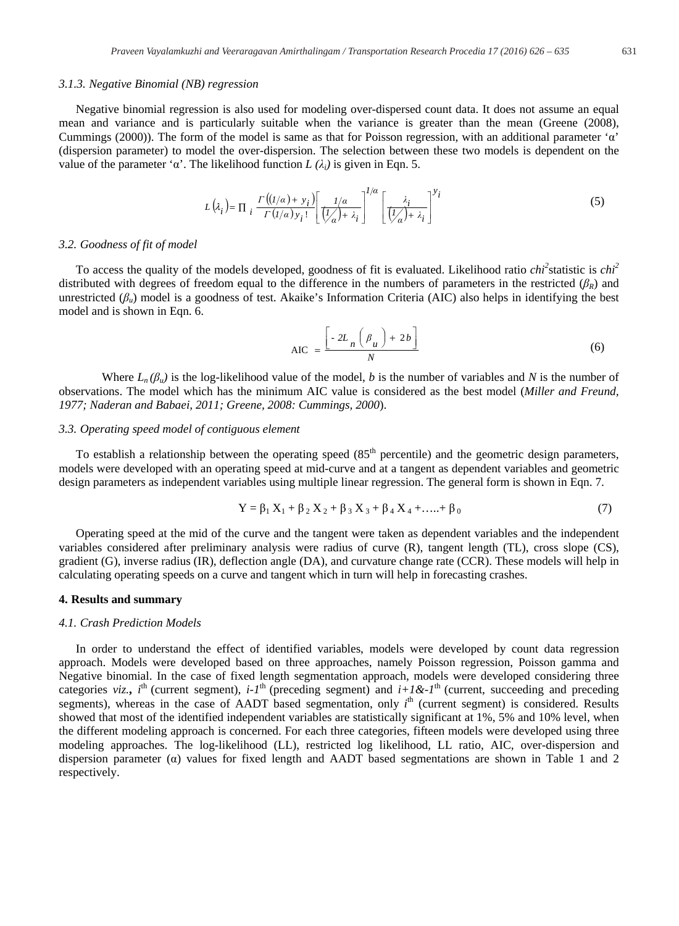#### *3.1.3. Negative Binomial (NB) regression*

 Negative binomial regression is also used for modeling over-dispersed count data. It does not assume an equal mean and variance and is particularly suitable when the variance is greater than the mean (Greene (2008), Cummings (2000)). The form of the model is same as that for Poisson regression, with an additional parameter ' $\alpha$ ' (dispersion parameter) to model the over-dispersion. The selection between these two models is dependent on the value of the parameter ' $\alpha$ '. The likelihood function *L* ( $\lambda_i$ ) is given in Eqn. 5.

$$
L(\lambda_i) = \Pi_i \frac{\Gamma((1/\alpha) + y_i)}{\Gamma(\frac{1}{\alpha})y_i!} \left[ \frac{1/\alpha}{(\frac{1}{\alpha}) + \lambda_i} \right]^{1/\alpha} \left[ \frac{\lambda_i}{(\frac{1}{\alpha}) + \lambda_i} \right]^{y_i}
$$
(5)

#### *3.2. Goodness of fit of model*

To access the quality of the models developed, goodness of fit is evaluated. Likelihood ratio *chi*<sup>2</sup> statistic is *chi*<sup>2</sup> distributed with degrees of freedom equal to the difference in the numbers of parameters in the restricted  $(\beta_{R})$  and unrestricted  $(\beta_u)$  model is a goodness of test. Akaike's Information Criteria (AIC) also helps in identifying the best model and is shown in Eqn. 6.

$$
AIC = \frac{\left[ -2L_n \left( \beta_u \right) + 2b \right]}{N} \tag{6}
$$

Where  $L_n(\beta_u)$  is the log-likelihood value of the model, *b* is the number of variables and *N* is the number of observations. The model which has the minimum AIC value is considered as the best model (*Miller and Freund, 1977; Naderan and Babaei, 2011; Greene, 2008: Cummings, 2000*).

#### *3.3. Operating speed model of contiguous element*

To establish a relationship between the operating speed  $(85<sup>th</sup>$  percentile) and the geometric design parameters, models were developed with an operating speed at mid-curve and at a tangent as dependent variables and geometric design parameters as independent variables using multiple linear regression. The general form is shown in Eqn. 7.

$$
Y = \beta_1 X_1 + \beta_2 X_2 + \beta_3 X_3 + \beta_4 X_4 + \dots + \beta_0
$$
 (7)

Operating speed at the mid of the curve and the tangent were taken as dependent variables and the independent variables considered after preliminary analysis were radius of curve (R), tangent length (TL), cross slope (CS), gradient (G), inverse radius (IR), deflection angle (DA), and curvature change rate (CCR). These models will help in calculating operating speeds on a curve and tangent which in turn will help in forecasting crashes.

### **4. Results and summary**

#### *4.1. Crash Prediction Models*

In order to understand the effect of identified variables, models were developed by count data regression approach. Models were developed based on three approaches, namely Poisson regression, Poisson gamma and Negative binomial. In the case of fixed length segmentation approach, models were developed considering three categories *viz.*,  $i^{\text{th}}$  (current segment),  $i - I^{\text{th}}$  (preceding segment) and  $i + 1 < I^{\text{th}}$  (current, succeeding and preceding segments), whereas in the case of AADT based segmentation, only *i*<sup>th</sup> (current segment) is considered. Results showed that most of the identified independent variables are statistically significant at 1%, 5% and 10% level, when the different modeling approach is concerned. For each three categories, fifteen models were developed using three modeling approaches. The log-likelihood (LL), restricted log likelihood, LL ratio, AIC, over-dispersion and dispersion parameter  $\alpha$ ) values for fixed length and AADT based segmentations are shown in Table 1 and 2 respectively.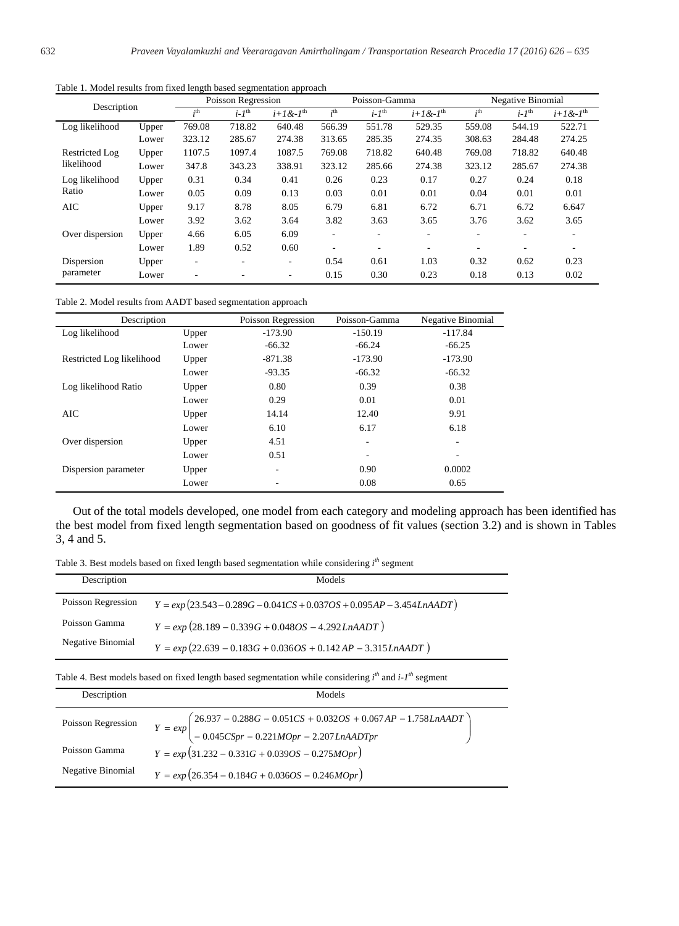| Description                  |       | Poisson Regression       |                          | Poisson-Gamma            |                |                          | Negative Binomial        |                          |                          |                         |
|------------------------------|-------|--------------------------|--------------------------|--------------------------|----------------|--------------------------|--------------------------|--------------------------|--------------------------|-------------------------|
|                              |       | ;th                      | $i-l^{\text{th}}$        | $i+1$ &-1 <sup>th</sup>  | ;th            | $i-I$ <sup>th</sup>      | $i+1$ &-1 <sup>th</sup>  | $\mathbf{r}^{\text{th}}$ | $i-I$ <sup>th</sup>      | $i+1$ &-1 <sup>th</sup> |
| Log likelihood               | Upper | 769.08                   | 718.82                   | 640.48                   | 566.39         | 551.78                   | 529.35                   | 559.08                   | 544.19                   | 522.71                  |
|                              | Lower | 323.12                   | 285.67                   | 274.38                   | 313.65         | 285.35                   | 274.35                   | 308.63                   | 284.48                   | 274.25                  |
| Restricted Log<br>likelihood | Upper | 1107.5                   | 1097.4                   | 1087.5                   | 769.08         | 718.82                   | 640.48                   | 769.08                   | 718.82                   | 640.48                  |
|                              | Lower | 347.8                    | 343.23                   | 338.91                   | 323.12         | 285.66                   | 274.38                   | 323.12                   | 285.67                   | 274.38                  |
| Log likelihood               | Upper | 0.31                     | 0.34                     | 0.41                     | 0.26           | 0.23                     | 0.17                     | 0.27                     | 0.24                     | 0.18                    |
| Ratio                        | Lower | 0.05                     | 0.09                     | 0.13                     | 0.03           | 0.01                     | 0.01                     | 0.04                     | 0.01                     | 0.01                    |
| AIC                          | Upper | 9.17                     | 8.78                     | 8.05                     | 6.79           | 6.81                     | 6.72                     | 6.71                     | 6.72                     | 6.647                   |
| Over dispersion              | Lower | 3.92                     | 3.62                     | 3.64                     | 3.82           | 3.63                     | 3.65                     | 3.76                     | 3.62                     | 3.65                    |
|                              | Upper | 4.66                     | 6.05                     | 6.09                     | ٠              |                          | $\overline{\phantom{0}}$ | -                        | $\overline{\phantom{0}}$ |                         |
|                              | Lower | 1.89                     | 0.52                     | 0.60                     | $\overline{a}$ | $\overline{\phantom{a}}$ | $\overline{\phantom{a}}$ | $\overline{\phantom{0}}$ | $\overline{\phantom{a}}$ |                         |
| Dispersion<br>parameter      | Upper | $\overline{\phantom{a}}$ | $\overline{\phantom{a}}$ | $\overline{\phantom{a}}$ | 0.54           | 0.61                     | 1.03                     | 0.32                     | 0.62                     | 0.23                    |
|                              | Lower | $\overline{\phantom{0}}$ |                          | -                        | 0.15           | 0.30                     | 0.23                     | 0.18                     | 0.13                     | 0.02                    |

Table 1. Model results from fixed length based segmentation approach

Table 2. Model results from AADT based segmentation approach

| Description               |       | Poisson Regression       | Poisson-Gamma | Negative Binomial        |
|---------------------------|-------|--------------------------|---------------|--------------------------|
| Log likelihood            | Upper | $-173.90$                | $-150.19$     | $-117.84$                |
|                           | Lower | $-66.32$                 | $-66.24$      | $-66.25$                 |
| Restricted Log likelihood | Upper | $-871.38$                | $-173.90$     | $-173.90$                |
|                           | Lower | $-93.35$                 | $-66.32$      | $-66.32$                 |
| Log likelihood Ratio      | Upper | 0.80                     | 0.39          | 0.38                     |
|                           | Lower | 0.29                     | 0.01          | 0.01                     |
| AIC                       | Upper | 14.14                    | 12.40         | 9.91                     |
|                           | Lower | 6.10                     | 6.17          | 6.18                     |
| Over dispersion           | Upper | 4.51                     | ٠             |                          |
|                           | Lower | 0.51                     | -             | $\overline{\phantom{0}}$ |
| Dispersion parameter      | Upper | $\overline{\phantom{a}}$ | 0.90          | 0.0002                   |
|                           | Lower |                          | 0.08          | 0.65                     |

Out of the total models developed, one model from each category and modeling approach has been identified has the best model from fixed length segmentation based on goodness of fit values (section 3.2) and is shown in Tables 3, 4 and 5.

Table 3. Best models based on fixed length based segmentation while considering *i*<sup>th</sup> segment

| Description        | Models                                                                 |
|--------------------|------------------------------------------------------------------------|
| Poisson Regression | $Y = exp(23.543 - 0.289G - 0.041CS + 0.037OS + 0.095AP - 3.454LnAADT)$ |
| Poisson Gamma      | $Y = exp(28.189 - 0.339G + 0.048OS - 4.292LnAADT)$                     |
| Negative Binomial  | $Y = exp(22.639 - 0.183G + 0.036OS + 0.142AP - 3.315LnAADT)$           |

Table 4. Best models based on fixed length based segmentation while considering *i th* and *i-1th* segment

| Description        | Models                                                                                                                                                     |
|--------------------|------------------------------------------------------------------------------------------------------------------------------------------------------------|
| Poisson Regression | $Y = exp \left( \begin{matrix} 26.937 - 0.288G - 0.051CS + 0.032OS + 0.067AP - 1.758LnAADT \\ -0.045CSpr - 0.221MOpr - 2.207LnAADTpr \end{matrix} \right)$ |
|                    |                                                                                                                                                            |
| Poisson Gamma      | $Y = exp(31.232 - 0.331G + 0.039OS - 0.275MOpr)$                                                                                                           |
| Negative Binomial  | $Y = exp(26.354 - 0.184G + 0.036OS - 0.246MOpr)$                                                                                                           |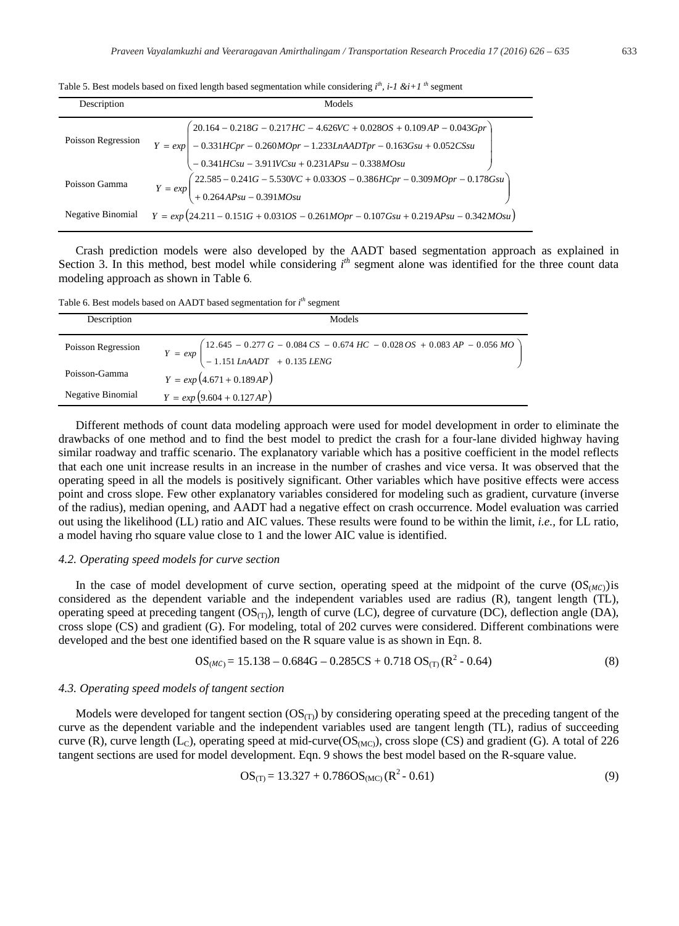|  | Table 5. Best models based on fixed length based segmentation while considering $i^h$ , $i-1$ & $i+1$ <sup>th</sup> segment |  |
|--|-----------------------------------------------------------------------------------------------------------------------------|--|
|  |                                                                                                                             |  |

| Description        | Models                                                                                                                                                 |
|--------------------|--------------------------------------------------------------------------------------------------------------------------------------------------------|
| Poisson Regression | $20.164 - 0.218G - 0.217HC - 4.626VC + 0.028OS + 0.109AP - 0.043Gpr$                                                                                   |
|                    | $Y = exp \Big  -0.331 H Cpr - 0.260 M Opr - 1.233 L n A D T pr - 0.163 Gsu + 0.052 C S su$                                                             |
|                    | $\left(-0.341HCsu - 3.911VCsu + 0.231APsu - 0.338MOsu\right)$<br>$\left(22.585 - 0.241G - 5.530VC + 0.033OS - 0.386HCpr - 0.309MOpr - 0.178Gsu\right)$ |
| Poisson Gamma      | $Y=\exp$                                                                                                                                               |
|                    | $+0.264APsu - 0.391MOsu$                                                                                                                               |
| Negative Binomial  | $Y = exp(24.211 - 0.151G + 0.031OS - 0.261MOpr - 0.107Gsu + 0.219APsu - 0.342MOsu)$                                                                    |

 Crash prediction models were also developed by the AADT based segmentation approach as explained in Section 3. In this method, best model while considering  $i<sup>th</sup>$  segment alone was identified for the three count data modeling approach as shown in Table 6.

Table 6. Best models based on AADT based segmentation for *i th* segment

| Description        | Models                                                                         |
|--------------------|--------------------------------------------------------------------------------|
| Poisson Regression | $\int$ 12.645 - 0.277 G - 0.084 CS - 0.674 HC - 0.028 OS + 0.083 AP - 0.056 MO |
|                    | $Y = exp \Big  -1.151 LnAADT + 0.135 LENG$                                     |
| Poisson-Gamma      | $Y = exp(4.671 + 0.189AP)$                                                     |
| Negative Binomial  | $Y = exp(9.604 + 0.127AP)$                                                     |

 Different methods of count data modeling approach were used for model development in order to eliminate the drawbacks of one method and to find the best model to predict the crash for a four-lane divided highway having similar roadway and traffic scenario. The explanatory variable which has a positive coefficient in the model reflects that each one unit increase results in an increase in the number of crashes and vice versa. It was observed that the operating speed in all the models is positively significant. Other variables which have positive effects were access point and cross slope. Few other explanatory variables considered for modeling such as gradient, curvature (inverse of the radius), median opening, and AADT had a negative effect on crash occurrence. Model evaluation was carried out using the likelihood (LL) ratio and AIC values. These results were found to be within the limit, *i.e.,* for LL ratio, a model having rho square value close to 1 and the lower AIC value is identified.

#### *4.2. Operating speed models for curve section*

In the case of model development of curve section, operating speed at the midpoint of the curve  $(OS<sub>(MC)</sub>)$ is considered as the dependent variable and the independent variables used are radius (R), tangent length (TL), operating speed at preceding tangent  $(OS_{(T)})$ , length of curve (LC), degree of curvature (DC), deflection angle (DA), cross slope (CS) and gradient (G). For modeling, total of 202 curves were considered. Different combinations were developed and the best one identified based on the R square value is as shown in Eqn. 8.

$$
OS(MC) = 15.138 - 0.684G - 0.285CS + 0.718 OS(T) (R2 - 0.64)
$$
 (8)

#### *4.3. Operating speed models of tangent section*

Models were developed for tangent section  $(OS<sub>(T)</sub>)$  by considering operating speed at the preceding tangent of the curve as the dependent variable and the independent variables used are tangent length (TL), radius of succeeding curve (R), curve length (L<sub>C</sub>), operating speed at mid-curve( $OS<sub>(MC)</sub>$ ), cross slope (CS) and gradient (G). A total of 226 tangent sections are used for model development. Eqn. 9 shows the best model based on the R-square value.

$$
OS_{(T)} = 13.327 + 0.786OS_{(MC)}(R^2 - 0.61)
$$
\n(9)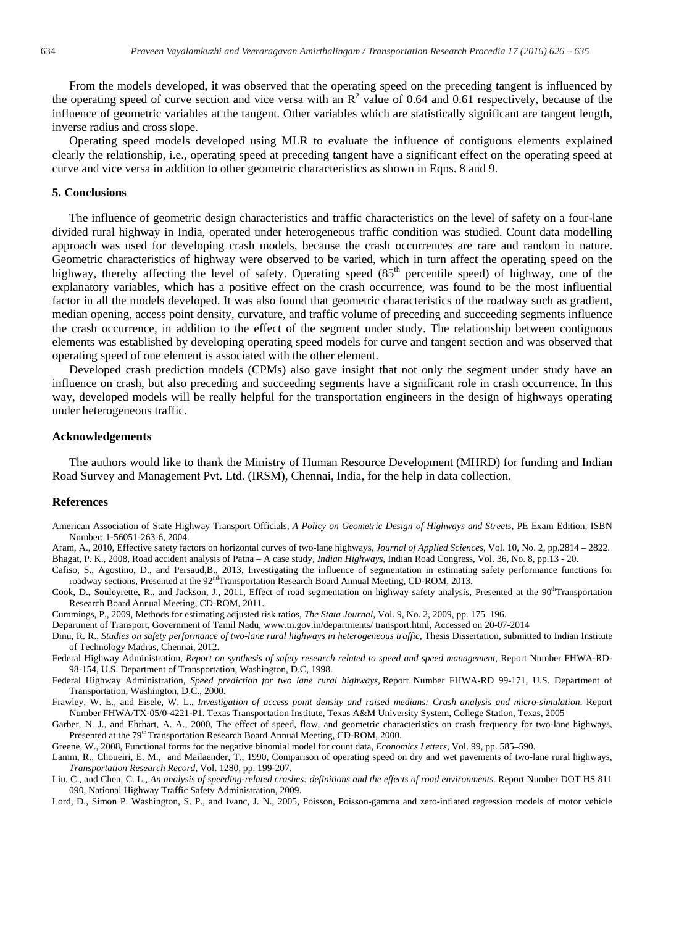From the models developed, it was observed that the operating speed on the preceding tangent is influenced by the operating speed of curve section and vice versa with an  $\mathbb{R}^2$  value of 0.64 and 0.61 respectively, because of the influence of geometric variables at the tangent. Other variables which are statistically significant are tangent length, inverse radius and cross slope.

Operating speed models developed using MLR to evaluate the influence of contiguous elements explained clearly the relationship, i.e., operating speed at preceding tangent have a significant effect on the operating speed at curve and vice versa in addition to other geometric characteristics as shown in Eqns. 8 and 9.

#### **5. Conclusions**

 The influence of geometric design characteristics and traffic characteristics on the level of safety on a four-lane divided rural highway in India, operated under heterogeneous traffic condition was studied. Count data modelling approach was used for developing crash models, because the crash occurrences are rare and random in nature. Geometric characteristics of highway were observed to be varied, which in turn affect the operating speed on the highway, thereby affecting the level of safety. Operating speed  $(85<sup>th</sup>$  percentile speed) of highway, one of the explanatory variables, which has a positive effect on the crash occurrence, was found to be the most influential factor in all the models developed. It was also found that geometric characteristics of the roadway such as gradient, median opening, access point density, curvature, and traffic volume of preceding and succeeding segments influence the crash occurrence, in addition to the effect of the segment under study. The relationship between contiguous elements was established by developing operating speed models for curve and tangent section and was observed that operating speed of one element is associated with the other element.

Developed crash prediction models (CPMs) also gave insight that not only the segment under study have an influence on crash, but also preceding and succeeding segments have a significant role in crash occurrence. In this way, developed models will be really helpful for the transportation engineers in the design of highways operating under heterogeneous traffic.

#### **Acknowledgements**

 The authors would like to thank the Ministry of Human Resource Development (MHRD) for funding and Indian Road Survey and Management Pvt. Ltd. (IRSM), Chennai, India, for the help in data collection.

#### **References**

American Association of State Highway Transport Officials*, A Policy on Geometric Design of Highways and Streets,* PE Exam Edition, ISBN Number: 1-56051-263-6, 2004.

Aram, A., 2010, Effective safety factors on horizontal curves of two-lane highways, *Journal of Applied Sciences*, Vol. 10, No. 2, pp.2814 – 2822. Bhagat, P. K., 2008, Road accident analysis of Patna – A case study, *Indian Highways*, Indian Road Congress, Vol. 36, No. 8, pp.13 - 20.

Cafiso, S., Agostino, D., and Persaud,B., 2013, Investigating the influence of segmentation in estimating safety performance functions for roadway sections, Presented at the 92<sup>nd</sup>Transportation Research Board Annual Meeting, CD-ROM, 2013.

Cook, D., Souleyrette, R., and Jackson, J., 2011, Effect of road segmentation on highway safety analysis, Presented at the 90<sup>th</sup>Transportation Research Board Annual Meeting, CD-ROM, 2011.

Cummings, P., 2009, Methods for estimating adjusted risk ratios, *The Stata Journal*, Vol. 9, No. 2, 2009, pp. 175–196.

Department of Transport, Government of Tamil Nadu, www.tn.gov.in/departments/ transport.html, Accessed on 20-07-2014

Dinu, R. R., *Studies on safety performance of two-lane rural highways in heterogeneous traffic*, Thesis Dissertation, submitted to Indian Institute of Technology Madras, Chennai, 2012.

Federal Highway Administration, *Report on synthesis of safety research related to speed and speed management*, Report Number FHWA-RD-98-154, U.S. Department of Transportation, Washington, D.C, 1998.

Federal Highway Administration, *Speed prediction for two lane rural highways*, Report Number FHWA-RD 99-171, U.S. Department of Transportation, Washington, D.C., 2000.

Frawley, W. E., and Eisele, W. L., *Investigation of access point density and raised medians: Crash analysis and micro-simulation*. Report Number FHWA/TX-05/0-4221-P1. Texas Transportation Institute, Texas A&M University System, College Station, Texas, 2005

Garber, N. J., and Ehrhart, A. A., 2000, The effect of speed, flow, and geometric characteristics on crash frequency for two-lane highways, Presented at the 79<sup>th</sup> Transportation Research Board Annual Meeting, CD-ROM, 2000.

Greene, W., 2008, Functional forms for the negative binomial model for count data, *Economics Letters,* Vol. 99, pp. 585–590.

Lamm, R., Choueiri, E. M., and Mailaender, T., 1990, Comparison of operating speed on dry and wet pavements of two-lane rural highways, *Transportation Research Record*, Vol. 1280, pp. 199-207.

Liu, C., and Chen, C. L., *An analysis of speeding-related crashes: definitions and the effects of road environments*. Report Number DOT HS 811 090, National Highway Traffic Safety Administration, 2009.

Lord, D.*,* Simon P. Washington, S. P., and Ivanc, J. N., 2005, Poisson, Poisson-gamma and zero-inflated regression models of motor vehicle